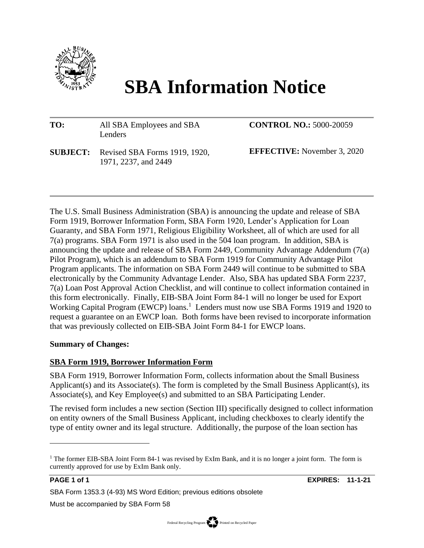

# **SBA Information Notice**

#### **TO:** All SBA Employees and SBA Lenders **SUBJECT:** Revised SBA Forms 1919, 1920, **CONTROL NO.:** 5000-20059 **EFFECTIVE:** November 3, 2020

The U.S. Small Business Administration (SBA) is announcing the update and release of SBA Form 1919, Borrower Information Form, SBA Form 1920, Lender's Application for Loan Guaranty, and SBA Form 1971, Religious Eligibility Worksheet, all of which are used for all 7(a) programs. SBA Form 1971 is also used in the 504 loan program. In addition, SBA is announcing the update and release of SBA Form 2449, Community Advantage Addendum (7(a) Pilot Program), which is an addendum to SBA Form 1919 for Community Advantage Pilot Program applicants. The information on SBA Form 2449 will continue to be submitted to SBA electronically by the Community Advantage Lender. Also, SBA has updated SBA Form 2237, 7(a) Loan Post Approval Action Checklist, and will continue to collect information contained in this form electronically. Finally, EIB-SBA Joint Form 84-1 will no longer be used for Export Working Capital Program (EWCP) loans.<sup>1</sup> Lenders must now use SBA Forms 1919 and 1920 to request a guarantee on an EWCP loan. Both forms have been revised to incorporate information that was previously collected on EIB-SBA Joint Form 84-1 for EWCP loans.

#### **Summary of Changes:**

## **SBA Form 1919, Borrower Information Form**

1971, 2237, and 2449

SBA Form 1919, Borrower Information Form, collects information about the Small Business Applicant(s) and its Associate(s). The form is completed by the Small Business Applicant(s), its Associate(s), and Key Employee(s) and submitted to an SBA Participating Lender.

The revised form includes a new section (Section III) specifically designed to collect information on entity owners of the Small Business Applicant, including checkboxes to clearly identify the type of entity owner and its legal structure. Additionally, the purpose of the loan section has

**PAGE 1 of 1 EXPIRES: 11-1-21**

SBA Form 1353.3 (4-93) MS Word Edition; previous editions obsolete

<sup>&</sup>lt;sup>1</sup> The former EIB-SBA Joint Form 84-1 was revised by ExIm Bank, and it is no longer a joint form. The form is currently approved for use by ExIm Bank only.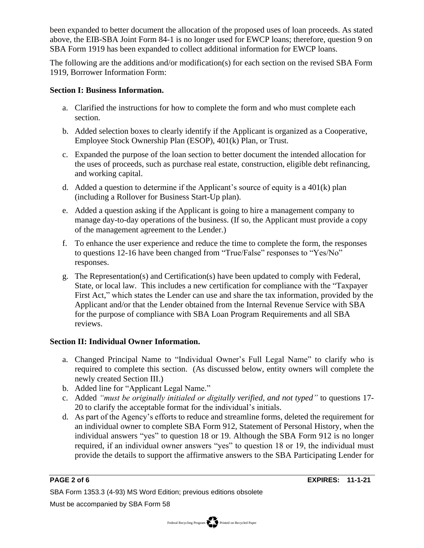been expanded to better document the allocation of the proposed uses of loan proceeds. As stated above, the EIB-SBA Joint Form 84-1 is no longer used for EWCP loans; therefore, question 9 on SBA Form 1919 has been expanded to collect additional information for EWCP loans.

The following are the additions and/or modification(s) for each section on the revised SBA Form 1919, Borrower Information Form:

#### **Section I: Business Information.**

- a. Clarified the instructions for how to complete the form and who must complete each section.
- b. Added selection boxes to clearly identify if the Applicant is organized as a Cooperative, Employee Stock Ownership Plan (ESOP), 401(k) Plan, or Trust.
- c. Expanded the purpose of the loan section to better document the intended allocation for the uses of proceeds, such as purchase real estate, construction, eligible debt refinancing, and working capital.
- d. Added a question to determine if the Applicant's source of equity is a 401(k) plan (including a Rollover for Business Start-Up plan).
- e. Added a question asking if the Applicant is going to hire a management company to manage day-to-day operations of the business. (If so, the Applicant must provide a copy of the management agreement to the Lender.)
- f. To enhance the user experience and reduce the time to complete the form, the responses to questions 12-16 have been changed from "True/False" responses to "Yes/No" responses.
- g. The Representation(s) and Certification(s) have been updated to comply with Federal, State, or local law. This includes a new certification for compliance with the "Taxpayer First Act," which states the Lender can use and share the tax information, provided by the Applicant and/or that the Lender obtained from the Internal Revenue Service with SBA for the purpose of compliance with SBA Loan Program Requirements and all SBA reviews.

## **Section II: Individual Owner Information.**

- a. Changed Principal Name to "Individual Owner's Full Legal Name" to clarify who is required to complete this section. (As discussed below, entity owners will complete the newly created Section III.)
- b. Added line for "Applicant Legal Name."
- c. Added *"must be originally initialed or digitally verified, and not typed"* to questions 17- 20 to clarify the acceptable format for the individual's initials.
- d. As part of the Agency's efforts to reduce and streamline forms, deleted the requirement for an individual owner to complete SBA Form 912, Statement of Personal History, when the individual answers "yes" to question 18 or 19. Although the SBA Form 912 is no longer required, if an individual owner answers "yes" to question 18 or 19, the individual must provide the details to support the affirmative answers to the SBA Participating Lender for

SBA Form 1353.3 (4-93) MS Word Edition; previous editions obsolete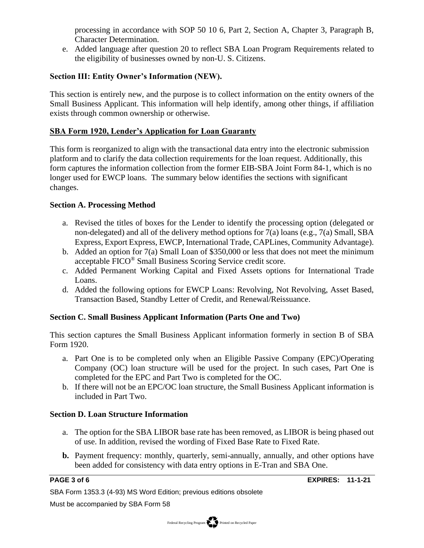processing in accordance with SOP 50 10 6, Part 2, Section A, Chapter 3, Paragraph B, Character Determination.

e. Added language after question 20 to reflect SBA Loan Program Requirements related to the eligibility of businesses owned by non-U. S. Citizens.

#### **Section III: Entity Owner's Information (NEW).**

This section is entirely new, and the purpose is to collect information on the entity owners of the Small Business Applicant. This information will help identify, among other things, if affiliation exists through common ownership or otherwise.

#### **SBA Form 1920, Lender's Application for Loan Guaranty**

This form is reorganized to align with the transactional data entry into the electronic submission platform and to clarify the data collection requirements for the loan request. Additionally, this form captures the information collection from the former EIB-SBA Joint Form 84-1, which is no longer used for EWCP loans. The summary below identifies the sections with significant changes.

#### **Section A. Processing Method**

- a. Revised the titles of boxes for the Lender to identify the processing option (delegated or non-delegated) and all of the delivery method options for  $7(a)$  loans (e.g.,  $7(a)$  Small, SBA Express, Export Express, EWCP, International Trade, CAPLines, Community Advantage).
- b. Added an option for 7(a) Small Loan of \$350,000 or less that does not meet the minimum acceptable FICO® Small Business Scoring Service credit score.
- c. Added Permanent Working Capital and Fixed Assets options for International Trade Loans.
- d. Added the following options for EWCP Loans: Revolving, Not Revolving, Asset Based, Transaction Based, Standby Letter of Credit, and Renewal/Reissuance.

#### **Section C. Small Business Applicant Information (Parts One and Two)**

This section captures the Small Business Applicant information formerly in section B of SBA Form 1920.

- a. Part One is to be completed only when an Eligible Passive Company (EPC)/Operating Company (OC) loan structure will be used for the project. In such cases, Part One is completed for the EPC and Part Two is completed for the OC.
- b. If there will not be an EPC/OC loan structure, the Small Business Applicant information is included in Part Two.

#### **Section D. Loan Structure Information**

- a. The option for the SBA LIBOR base rate has been removed, as LIBOR is being phased out of use. In addition, revised the wording of Fixed Base Rate to Fixed Rate.
- **b.** Payment frequency: monthly, quarterly, semi-annually, annually, and other options have been added for consistency with data entry options in E-Tran and SBA One.

SBA Form 1353.3 (4-93) MS Word Edition; previous editions obsolete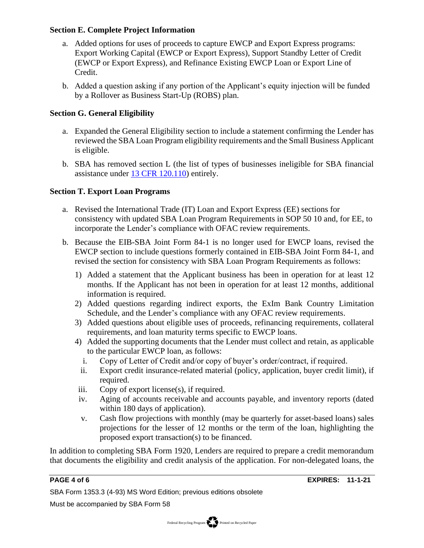#### **Section E. Complete Project Information**

- a. Added options for uses of proceeds to capture EWCP and Export Express programs: Export Working Capital (EWCP or Export Express), Support Standby Letter of Credit (EWCP or Export Express), and Refinance Existing EWCP Loan or Export Line of Credit.
- b. Added a question asking if any portion of the Applicant's equity injection will be funded by a Rollover as Business Start-Up (ROBS) plan.

#### **Section G. General Eligibility**

- a. Expanded the General Eligibility section to include a statement confirming the Lender has reviewed the SBA Loan Program eligibility requirements and the Small Business Applicant is eligible.
- b. SBA has removed section L (the list of types of businesses ineligible for SBA financial assistance under [13 CFR 120.110\)](https://www.ecfr.gov/cgi-bin/text-idx?SID=caf4abe53ff1cb3638c7989563fbfc3d&pitd=20200131&node=pt13.1.120&rgn=div5#se13.1.120_1110) entirely.

### **Section T. Export Loan Programs**

- a. Revised the International Trade (IT) Loan and Export Express (EE) sections for consistency with updated SBA Loan Program Requirements in SOP 50 10 and, for EE, to incorporate the Lender's compliance with OFAC review requirements.
- b. Because the EIB-SBA Joint Form 84-1 is no longer used for EWCP loans, revised the EWCP section to include questions formerly contained in EIB-SBA Joint Form 84-1, and revised the section for consistency with SBA Loan Program Requirements as follows:
	- 1) Added a statement that the Applicant business has been in operation for at least 12 months. If the Applicant has not been in operation for at least 12 months, additional information is required.
	- 2) Added questions regarding indirect exports, the ExIm Bank Country Limitation Schedule, and the Lender's compliance with any OFAC review requirements.
	- 3) Added questions about eligible uses of proceeds, refinancing requirements, collateral requirements, and loan maturity terms specific to EWCP loans.
	- 4) Added the supporting documents that the Lender must collect and retain, as applicable to the particular EWCP loan, as follows:
		- i. Copy of Letter of Credit and/or copy of buyer's order/contract, if required.
		- ii. Export credit insurance-related material (policy, application, buyer credit limit), if required.
	- iii. Copy of export license(s), if required.
	- iv. Aging of accounts receivable and accounts payable, and inventory reports (dated within 180 days of application).
	- v. Cash flow projections with monthly (may be quarterly for asset-based loans) sales projections for the lesser of 12 months or the term of the loan, highlighting the proposed export transaction(s) to be financed.

In addition to completing SBA Form 1920, Lenders are required to prepare a credit memorandum that documents the eligibility and credit analysis of the application. For non-delegated loans, the

SBA Form 1353.3 (4-93) MS Word Edition; previous editions obsolete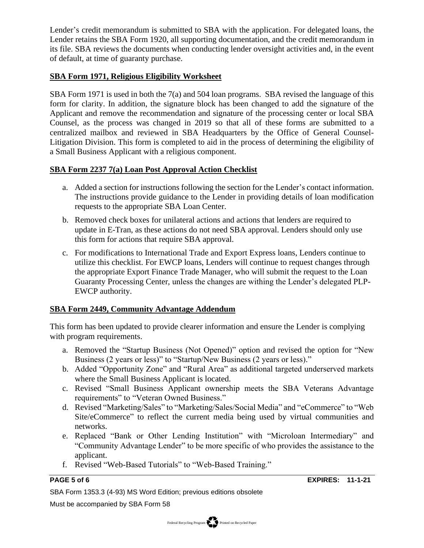Lender's credit memorandum is submitted to SBA with the application. For delegated loans, the Lender retains the SBA Form 1920, all supporting documentation, and the credit memorandum in its file. SBA reviews the documents when conducting lender oversight activities and, in the event of default, at time of guaranty purchase.

#### **SBA Form 1971, Religious Eligibility Worksheet**

SBA Form 1971 is used in both the 7(a) and 504 loan programs. SBA revised the language of this form for clarity. In addition, the signature block has been changed to add the signature of the Applicant and remove the recommendation and signature of the processing center or local SBA Counsel, as the process was changed in 2019 so that all of these forms are submitted to a centralized mailbox and reviewed in SBA Headquarters by the Office of General Counsel-Litigation Division. This form is completed to aid in the process of determining the eligibility of a Small Business Applicant with a religious component.

#### **SBA Form 2237 7(a) Loan Post Approval Action Checklist**

- a. Added a section for instructions following the section for the Lender's contact information. The instructions provide guidance to the Lender in providing details of loan modification requests to the appropriate SBA Loan Center.
- b. Removed check boxes for unilateral actions and actions that lenders are required to update in E-Tran, as these actions do not need SBA approval. Lenders should only use this form for actions that require SBA approval.
- c. For modifications to International Trade and Export Express loans, Lenders continue to utilize this checklist. For EWCP loans, Lenders will continue to request changes through the appropriate Export Finance Trade Manager, who will submit the request to the Loan Guaranty Processing Center, unless the changes are withing the Lender's delegated PLP-EWCP authority.

#### **SBA Form 2449, Community Advantage Addendum**

This form has been updated to provide clearer information and ensure the Lender is complying with program requirements.

- a. Removed the "Startup Business (Not Opened)" option and revised the option for "New Business (2 years or less)" to "Startup/New Business (2 years or less)."
- b. Added "Opportunity Zone" and "Rural Area" as additional targeted underserved markets where the Small Business Applicant is located.
- c. Revised "Small Business Applicant ownership meets the SBA Veterans Advantage requirements" to "Veteran Owned Business."
- d. Revised "Marketing/Sales" to "Marketing/Sales/Social Media" and "eCommerce" to "Web Site/eCommerce" to reflect the current media being used by virtual communities and networks.
- e. Replaced "Bank or Other Lending Institution" with "Microloan Intermediary" and "Community Advantage Lender" to be more specific of who provides the assistance to the applicant.
- f. Revised "Web-Based Tutorials" to "Web-Based Training."

**PAGE 5 of 6 EXPIRES: 11-1-21**

SBA Form 1353.3 (4-93) MS Word Edition; previous editions obsolete